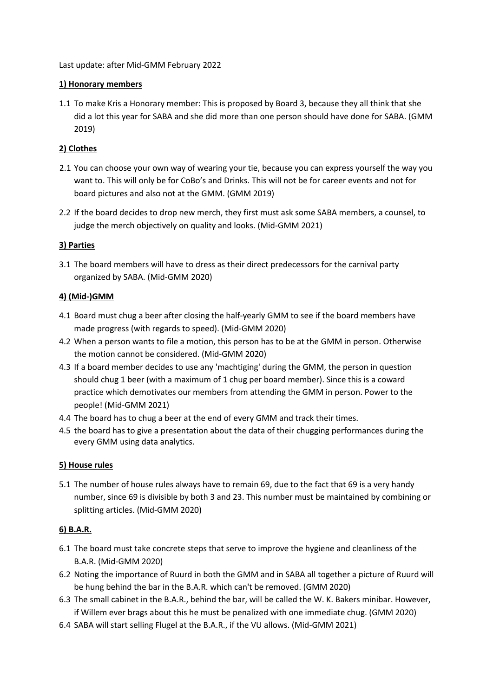Last update: after Mid-GMM February 2022

### **1) Honorary members**

1.1 To make Kris a Honorary member: This is proposed by Board 3, because they all think that she did a lot this year for SABA and she did more than one person should have done for SABA. (GMM 2019)

### **2) Clothes**

- 2.1 You can choose your own way of wearing your tie, because you can express yourself the way you want to. This will only be for CoBo's and Drinks. This will not be for career events and not for board pictures and also not at the GMM. (GMM 2019)
- 2.2 If the board decides to drop new merch, they first must ask some SABA members, a counsel, to judge the merch objectively on quality and looks. (Mid-GMM 2021)

# **3) Parties**

3.1 The board members will have to dress as their direct predecessors for the carnival party organized by SABA. (Mid-GMM 2020)

### **4) (Mid-)GMM**

- 4.1 Board must chug a beer after closing the half-yearly GMM to see if the board members have made progress (with regards to speed). (Mid-GMM 2020)
- 4.2 When a person wants to file a motion, this person has to be at the GMM in person. Otherwise the motion cannot be considered. (Mid-GMM 2020)
- 4.3 If a board member decides to use any 'machtiging' during the GMM, the person in question should chug 1 beer (with a maximum of 1 chug per board member). Since this is a coward practice which demotivates our members from attending the GMM in person. Power to the people! (Mid-GMM 2021)
- 4.4 The board has to chug a beer at the end of every GMM and track their times.
- 4.5 the board has to give a presentation about the data of their chugging performances during the every GMM using data analytics.

### **5) House rules**

5.1 The number of house rules always have to remain 69, due to the fact that 69 is a very handy number, since 69 is divisible by both 3 and 23. This number must be maintained by combining or splitting articles. (Mid-GMM 2020)

### **6) B.A.R.**

- 6.1 The board must take concrete steps that serve to improve the hygiene and cleanliness of the B.A.R. (Mid-GMM 2020)
- 6.2 Noting the importance of Ruurd in both the GMM and in SABA all together a picture of Ruurd will be hung behind the bar in the B.A.R. which can't be removed. (GMM 2020)
- 6.3 The small cabinet in the B.A.R., behind the bar, will be called the W. K. Bakers minibar. However, if Willem ever brags about this he must be penalized with one immediate chug. (GMM 2020)
- 6.4 SABA will start selling Flugel at the B.A.R., if the VU allows. (Mid-GMM 2021)